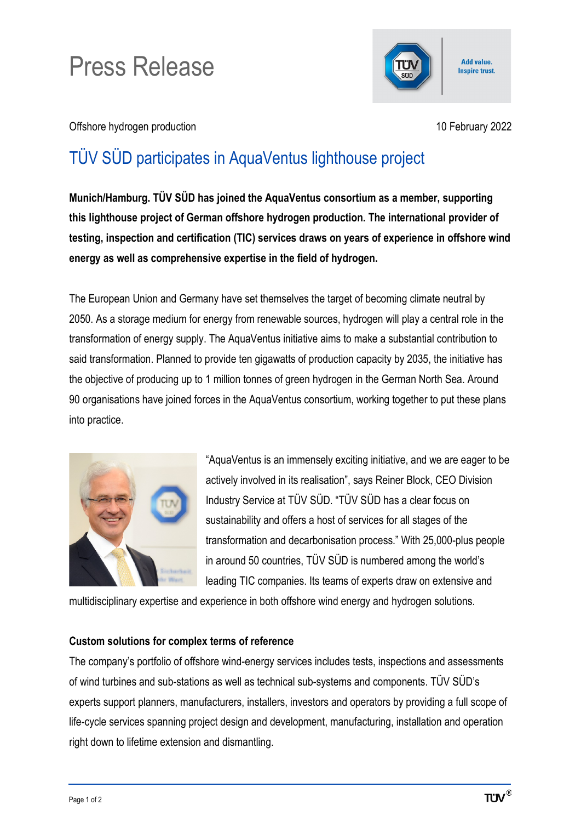## Press Release



Offshore hydrogen production 10 February 2022

## TÜV SÜD participates in AquaVentus lighthouse project

**Munich/Hamburg. TÜV SÜD has joined the AquaVentus consortium as a member, supporting this lighthouse project of German offshore hydrogen production. The international provider of testing, inspection and certification (TIC) services draws on years of experience in offshore wind energy as well as comprehensive expertise in the field of hydrogen.**

The European Union and Germany have set themselves the target of becoming climate neutral by 2050. As a storage medium for energy from renewable sources, hydrogen will play a central role in the transformation of energy supply. The AquaVentus initiative aims to make a substantial contribution to said transformation. Planned to provide ten gigawatts of production capacity by 2035, the initiative has the objective of producing up to 1 million tonnes of green hydrogen in the German North Sea. Around 90 organisations have joined forces in the AquaVentus consortium, working together to put these plans into practice.



"AquaVentus is an immensely exciting initiative, and we are eager to be actively involved in its realisation", says Reiner Block, CEO Division Industry Service at TÜV SÜD. "TÜV SÜD has a clear focus on sustainability and offers a host of services for all stages of the transformation and decarbonisation process." With 25,000-plus people in around 50 countries, TÜV SÜD is numbered among the world's leading TIC companies. Its teams of experts draw on extensive and

multidisciplinary expertise and experience in both offshore wind energy and hydrogen solutions.

## **Custom solutions for complex terms of reference**

The company's portfolio of offshore wind-energy services includes tests, inspections and assessments of wind turbines and sub-stations as well as technical sub-systems and components. TÜV SÜD's experts support planners, manufacturers, installers, investors and operators by providing a full scope of life-cycle services spanning project design and development, manufacturing, installation and operation right down to lifetime extension and dismantling.